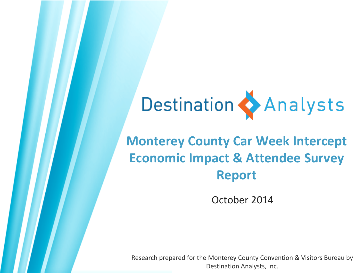# Destination & Analysts

### **Monterey County Car Week Intercept Economic Impact & Attendee Survey Report**

October 2014

Research prepared for the Monterey County Convention & Visitors Bureau by Destination Analysts, Inc.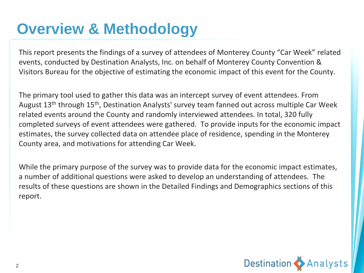# **Overview & Methodology**

This report presents the findings of a survey of attendees of Monterey County "Car Week" related events, conducted by Destination Analysts, Inc. on behalf of Monterey County Convention & Visitors Bureau for the objective of estimating the economic impact of this event for the County.

The primary tool used to gather this data was an intercept survey of event attendees. From August 13<sup>th</sup> through 15<sup>th</sup>, Destination Analysts' survey team fanned out across multiple Car Week related events around the County and randomly interviewed attendees. In total, 320 fully completed surveys of event attendees were gathered. To provide inputs for the economic impact estimates, the survey collected data on attendee place of residence, spending in the Monterey County area, and motivations for attending Car Week.

While the primary purpose of the survey was to provide data for the economic impact estimates, a number of additional questions were asked to develop an understanding of attendees. The results of these questions are shown in the Detailed Findings and Demographics sections of this report.

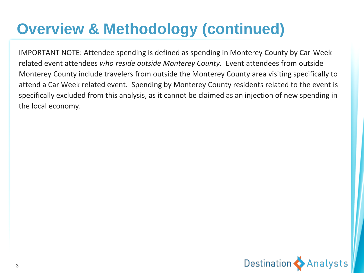# **Overview & Methodology (continued)**

IMPORTANT NOTE: Attendee spending is defined as spending in Monterey County by Car-Week related event attendees *who reside outside Monterey County*. Event attendees from outside Monterey County include travelers from outside the Monterey County area visiting specifically to attend a Car Week related event. Spending by Monterey County residents related to the event is specifically excluded from this analysis, as it cannot be claimed as an injection of new spending in the local economy.

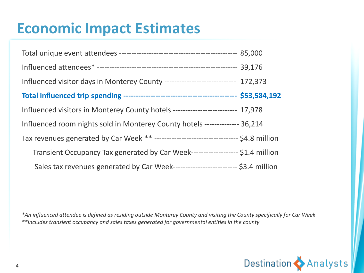## **Economic Impact Estimates**

| Influenced visitor days in Monterey County ----------------------------- 172,373  |  |
|-----------------------------------------------------------------------------------|--|
|                                                                                   |  |
| Influenced visitors in Monterey County hotels ------------------------- 17,978    |  |
| Influenced room nights sold in Monterey County hotels -------------- 36,214       |  |
|                                                                                   |  |
| Transient Occupancy Tax generated by Car Week------------------- \$1.4 million    |  |
| Sales tax revenues generated by Car Week--------------------------- \$3.4 million |  |

*\*An influenced attendee is defined as residing outside Monterey County and visiting the County specifically for Car Week \*\*Includes transient occupancy and sales taxes generated for governmental entities in the county* 

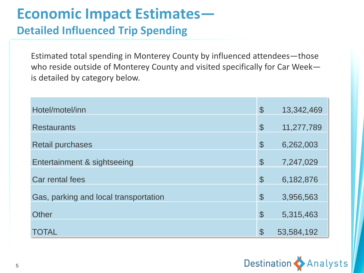### **Economic Impact Estimates—**

#### **Detailed Influenced Trip Spending**

Estimated total spending in Monterey County by influenced attendees—those who reside outside of Monterey County and visited specifically for Car Week is detailed by category below.

| Hotel/motel/inn                       | $\mathcal{L}$              | 13,342,469 |
|---------------------------------------|----------------------------|------------|
| <b>Restaurants</b>                    | $\mathcal{S}$              | 11,277,789 |
| <b>Retail purchases</b>               | $\boldsymbol{\mathcal{S}}$ | 6,262,003  |
| Entertainment & sightseeing           | $\mathcal{S}$              | 7,247,029  |
| Car rental fees                       | $\mathcal{S}$              | 6,182,876  |
| Gas, parking and local transportation | $\mathcal{S}$              | 3,956,563  |
| Other                                 | $\boldsymbol{\mathcal{S}}$ | 5,315,463  |
| TOTAL                                 | $\mathcal{P}$              | 53,584,192 |

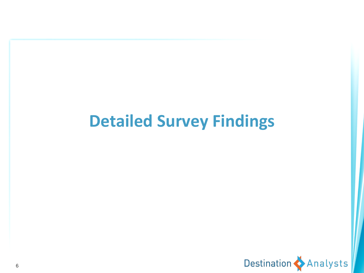# **Detailed Survey Findings**

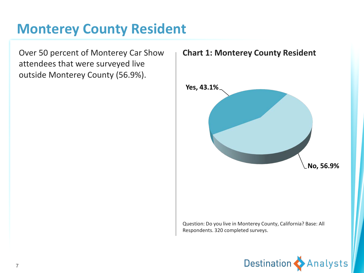#### **Monterey County Resident**

Over 50 percent of Monterey Car Show attendees that were surveyed live outside Monterey County (56.9%).



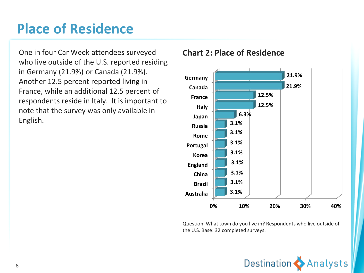### **Place of Residence**

One in four Car Week attendees surveyed who live outside of the U.S. reported residing in Germany (21.9%) or Canada (21.9%). Another 12.5 percent reported living in France, while an additional 12.5 percent of respondents reside in Italy. It is important to note that the survey was only available in English.

#### **Chart 2: Place of Residence**



Question: What town do you live in? Respondents who live outside of the U.S. Base: 32 completed surveys.

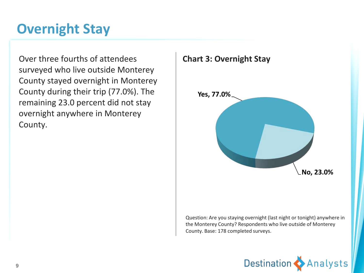### **Overnight Stay**

Over three fourths of attendees surveyed who live outside Monterey County stayed overnight in Monterey County during their trip (77.0%). The remaining 23.0 percent did not stay overnight anywhere in Monterey County.



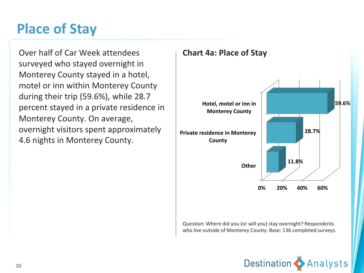### **Place of Stay**

Over half of Car Week attendees surveyed who stayed overnight in Monterey County stayed in a hotel, motel or inn within Monterey County during their trip (59.6%), while 28.7 percent stayed in a private residence in Monterey County. On average, overnight visitors spent approximately 4.6 nights in Monterey County.





Question: Where did you (or will you) stay overnight? Respondents who live outside of Monterey County. Base: 136 completed surveys.

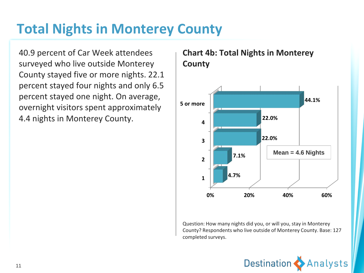### **Total Nights in Monterey County**

40.9 percent of Car Week attendees surveyed who live outside Monterey County stayed five or more nights. 22.1 percent stayed four nights and only 6.5 percent stayed one night. On average, overnight visitors spent approximately 4.4 nights in Monterey County.

#### **0% 20% 40% 60% 1 2 3 4 5 or more 4.7% 7.1% 22.0% 22.0% 44.1% Mean = 4.6 Nights**

**Chart 4b: Total Nights in Monterey County**

Question: How many nights did you, or will you, stay in Monterey County? Respondents who live outside of Monterey County. Base: 127 completed surveys.

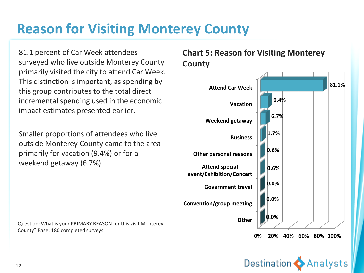### **Reason for Visiting Monterey County**

81.1 percent of Car Week attendees surveyed who live outside Monterey County primarily visited the city to attend Car Week. This distinction is important, as spending by this group contributes to the total direct incremental spending used in the economic impact estimates presented earlier.

Smaller proportions of attendees who live outside Monterey County came to the area primarily for vacation (9.4%) or for a weekend getaway (6.7%).

Question: What is your PRIMARY REASON for this visit Monterey County? Base: 180 completed surveys.

#### **Chart 5: Reason for Visiting Monterey County**



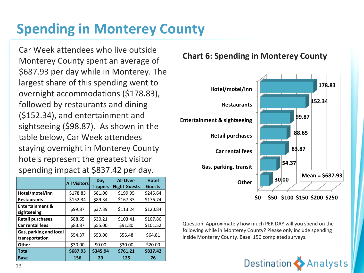### **Spending in Monterey County**

Car Week attendees who live outside Monterey County spent an average of \$687.93 per day while in Monterey. The largest share of this spending went to overnight accommodations (\$178.83), followed by restaurants and dining (\$152.34), and entertainment and sightseeing (\$98.87). As shown in the table below, Car Week attendees staying overnight in Monterey County hotels represent the greatest visitor spending impact at \$837.42 per day.

|                                           | <b>All Visitors</b> | Day<br><b>Trippers</b> | All Over-<br><b>Night Guests</b> | <b>Hotel</b><br><b>Guests</b> |
|-------------------------------------------|---------------------|------------------------|----------------------------------|-------------------------------|
| Hotel/motel/inn                           | \$178.83            | \$81.00                | \$199.95                         | \$245.64                      |
| <b>Restaurants</b>                        | \$152.34            | \$89.34                | \$167.33                         | \$176.74                      |
| <b>Entertainment &amp;</b><br>sightseeing | \$99.87             | \$37.39                | \$113.24                         | \$120.84                      |
| <b>Retail purchases</b>                   | \$88.65             | \$30.21                | \$103.41                         | \$107.86                      |
| <b>Car rental fees</b>                    | \$83.87             | \$55.00                | \$91.80                          | \$101.52                      |
| Gas, parking and local<br>transportation  | \$54.37             | \$53.00                | \$55.48                          | \$64.81                       |
| Other                                     | \$30.00             | \$0.00                 | \$30.00                          | \$20.00                       |
| <b>Total</b>                              | \$687.93            | \$345.94               | \$761.21                         | \$837.42                      |
| <b>Base</b>                               | 156                 | 29                     | 125                              | 76                            |

#### **Chart 6: Spending in Monterey County**



Question: Approximately how much PER DAY will you spend on the following while in Monterey County? Please only include spending inside Monterey County. Base: 156 completed surveys.

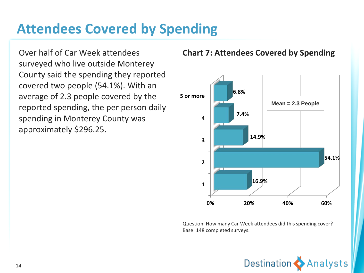### **Attendees Covered by Spending**

Over half of Car Week attendees surveyed who live outside Monterey County said the spending they reported covered two people (54.1%). With an average of 2.3 people covered by the reported spending, the per person daily spending in Monterey County was approximately \$296.25.

#### **Chart 7: Attendees Covered by Spending**



Question: How many Car Week attendees did this spending cover? Base: 148 completed surveys.

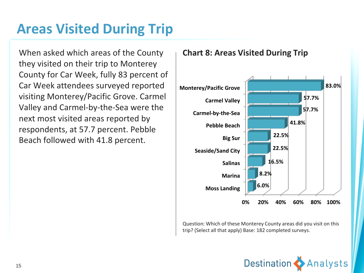### **Areas Visited During Trip**

When asked which areas of the County they visited on their trip to Monterey County for Car Week, fully 83 percent of Car Week attendees surveyed reported visiting Monterey/Pacific Grove. Carmel Valley and Carmel-by-the-Sea were the next most visited areas reported by respondents, at 57.7 percent. Pebble Beach followed with 41.8 percent.

#### **Chart 8: Areas Visited During Trip**



Question: Which of these Monterey County areas did you visit on this trip? (Select all that apply) Base: 182 completed surveys.

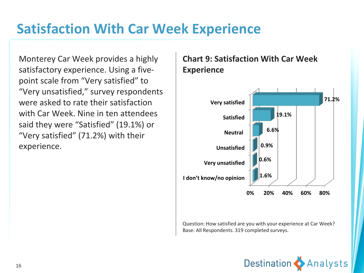### **Satisfaction With Car Week Experience**

Monterey Car Week provides a highly satisfactory experience. Using a fivepoint scale from "Very satisfied" to "Very unsatisfied," survey respondents were asked to rate their satisfaction with Car Week. Nine in ten attendees said they were "Satisfied" (19.1%) or "Very satisfied" (71.2%) with their experience.

#### **Chart 9: Satisfaction With Car Week Experience**



Question: How satisfied are you with your experience at Car Week? Base: All Respondents. 319 completed surveys.

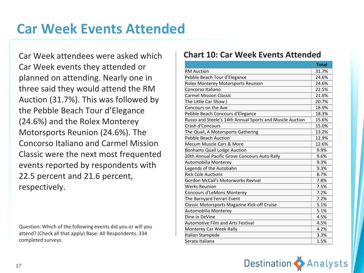### **Car Week Events Attended**

Car Week attendees were asked which Car Week events they attended or planned on attending. Nearly one in three said they would attend the RM Auction (31.7%). This was followed by the Pebble Beach Tour d'Elegance (24.6%) and the Rolex Monterey Motorsports Reunion (24.6%). The Concorso Italiano and Carmel Mission Classic were the next most frequented events reported by respondents with 22.5 percent and 21.6 percent, respectively.

Question: Which of the following events did you or will you attend? (Check all that apply) Base: All Respondents. 334 completed surveys.

#### **Chart 10: Car Week Events Attended**

|                                                          | <b>Total</b> |
|----------------------------------------------------------|--------------|
| <b>RM Auction</b>                                        | 31.7%        |
| Pebble Beach Tour d'Elegance                             | 24.6%        |
| Rolex Monterey Motorsports Reunion                       | 24.6%        |
| Concorso Italiano                                        | 22.5%        |
| <b>Carmel Mission Classic</b>                            | 21.6%        |
| The Little Car Show )                                    | 20.7%        |
| Concours on the Ave                                      | 18.9%        |
| Pebble Beach Concours d'Elegance                         | 18.3%        |
| Russo and Steele's 14th Annual Sports and Muscle Auction | 15.6%        |
| Crash d'Concours                                         | 15.0%        |
| The Quail, A Motorsports Gathering                       | 13.2%        |
| Pebble Beach Auction                                     | 12.9%        |
| Mecum Muscle Cars & More                                 | 12.6%        |
| <b>Bonhams Quail Lodge Auction</b>                       | 9.9%         |
| 20th Annual Pacific Grove Concours Auto Rally            | 9.6%         |
| Automobilia Monterev                                     | 9.3%         |
| Legends of the Autobahn                                  | 9.3%         |
| <b>Rick Cole Auctions</b>                                | 8.7%         |
| Gordon McCall's Motorworks Revival                       | 7.8%         |
| Werks Reunion                                            | 7.5%         |
| Concours d'LeMons Monterey                               | 7.2%         |
| The Barnyard Ferrari Event                               | 7.2%         |
| Classic Motorsports Magazine Kick-off Cruise             | 5.1%         |
| Automobilia Monterey                                     | 5.1%         |
| Dine in DeVine                                           | 4.5%         |
| Automotive Film and Arts Festival                        | 4.5%         |
| Monterey Car Week Rally                                  | 4.2%         |
| Italian Stampede                                         | 3.3%         |
| Serata Italiana                                          | 1.5%         |

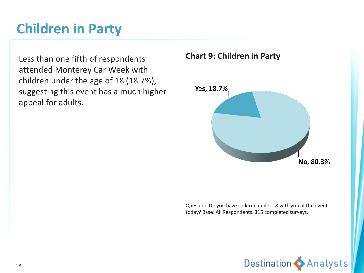### **Children in Party**

Less than one fifth of respondents attended Monterey Car Week with children under the age of 18 (18.7%), suggesting this event has a much higher appeal for adults.

#### **Chart 9: Children in Party**



Question: Do you have children under 18 with you at the event today? Base: All Respondents. 315 completed surveys.

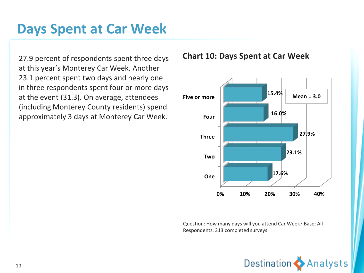#### **Days Spent at Car Week**

27.9 percent of respondents spent three days at this year's Monterey Car Week. Another 23.1 percent spent two days and nearly one in three respondents spent four or more days at the event (31.3). On average, attendees (including Monterey County residents) spend approximately 3 days at Monterey Car Week.

#### **0% 10% 20% 30% 40% One Two Three Four Five or more 17.6% 23.1% 27.9% 16.0% 15.4% Mean = 3.0**

Question: How many days will you attend Car Week? Base: All Respondents. 313 completed surveys.



**Chart 10: Days Spent at Car Week**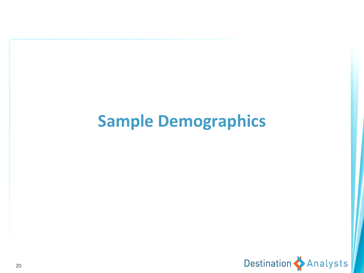# **Sample Demographics**

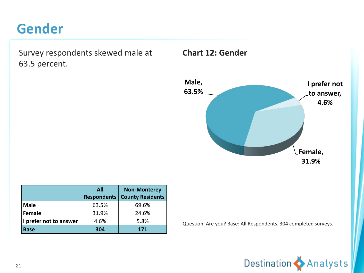#### **Gender**

Survey respondents skewed male at 63.5 percent.



|                        | <b>All</b> | <b>Non-Monterey</b>                   |
|------------------------|------------|---------------------------------------|
|                        |            | <b>Respondents   County Residents</b> |
| <b>Male</b>            | 63.5%      | 69.6%                                 |
| Female                 | 31.9%      | 24.6%                                 |
| I prefer not to answer | 4.6%       | 5.8%                                  |
| <b>Base</b>            | 304        | 171                                   |

Question: Are you? Base: All Respondents. 304 completed surveys.

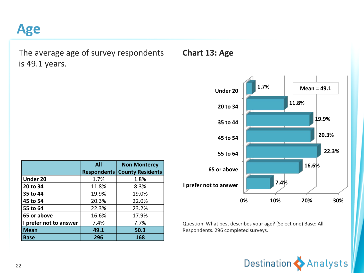#### **Age**

The average age of survey respondents is 49.1 years.

|                        | All                | <b>Non Monterey</b>     |
|------------------------|--------------------|-------------------------|
|                        | <b>Respondents</b> | <b>County Residents</b> |
| Under 20               | 1.7%               | 1.8%                    |
| 20 to 34               | 11.8%              | 8.3%                    |
| 35 to 44               | 19.9%              | 19.0%                   |
| 45 to 54               | 20.3%              | 22.0%                   |
| 55 to 64               | 22.3%              | 23.2%                   |
| 65 or above            | 16.6%              | 17.9%                   |
| I prefer not to answer | 7.4%               | 7.7%                    |
| <b>Mean</b>            | 49.1               | 50.3                    |
| Base                   | 296                | 168                     |

#### **Chart 13: Age**



Question: What best describes your age? (Select one) Base: All Respondents. 296 completed surveys.

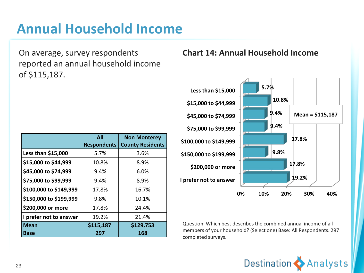### **Annual Household Income**

On average, survey respondents reported an annual household income of \$115,187.

|                        | <b>All</b>         | <b>Non Monterey</b>     |
|------------------------|--------------------|-------------------------|
|                        | <b>Respondents</b> | <b>County Residents</b> |
| Less than \$15,000     | 5.7%               | 3.6%                    |
| \$15,000 to \$44,999   | 10.8%              | 8.9%                    |
| \$45,000 to \$74,999   | 9.4%               | 6.0%                    |
| \$75,000 to \$99,999   | 9.4%               | 8.9%                    |
| \$100,000 to \$149,999 | 17.8%              | 16.7%                   |
| \$150,000 to \$199,999 | 9.8%               | 10.1%                   |
| \$200,000 or more      | 17.8%              | 24.4%                   |
| I prefer not to answer | 19.2%              | 21.4%                   |
| <b>Mean</b>            | \$115,187          | \$129,753               |
| Base                   | 297                | 168                     |

#### **Chart 14: Annual Household Income**



Question: Which best describes the combined annual income of all members of your household? (Select one) Base: All Respondents. 297 completed surveys.

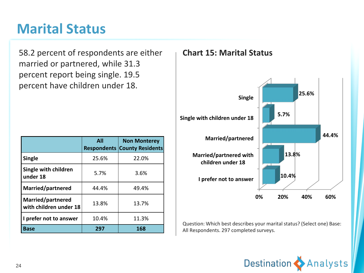#### **Marital Status**

58.2 percent of respondents are either married or partnered, while 31.3 percent report being single. 19.5 percent have children under 18.

|                                             | <b>All</b> | <b>Non Monterey</b><br><b>Respondents County Residents</b> |
|---------------------------------------------|------------|------------------------------------------------------------|
| <b>Single</b>                               | 25.6%      | 22.0%                                                      |
| Single with children<br>under 18            | 5.7%       | 3.6%                                                       |
| Married/partnered                           | 44.4%      | 49.4%                                                      |
| Married/partnered<br>with children under 18 | 13.8%      | 13.7%                                                      |
| I prefer not to answer                      | 10.4%      | 11.3%                                                      |
| <b>Base</b>                                 | 297        | 168                                                        |

#### **Chart 15: Marital Status**



Question: Which best describes your marital status? (Select one) Base: All Respondents. 297 completed surveys.

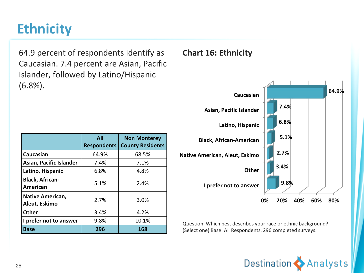### **Ethnicity**

64.9 percent of respondents identify as Caucasian. 7.4 percent are Asian, Pacific Islander, followed by Latino/Hispanic (6.8%).

|                                          | All<br><b>Respondents</b> | <b>Non Monterey</b><br><b>County Residents</b> |
|------------------------------------------|---------------------------|------------------------------------------------|
| Caucasian                                | 64.9%                     | 68.5%                                          |
| Asian, Pacific Islander                  | 7.4%                      | 7.1%                                           |
| Latino, Hispanic                         | 6.8%                      | 4.8%                                           |
| <b>Black, African-</b><br>American       | 5.1%                      | 2.4%                                           |
| <b>Native American,</b><br>Aleut, Eskimo | 2.7%                      | 3.0%                                           |
| <b>Other</b>                             | 3.4%                      | 4.2%                                           |
| I prefer not to answer                   | 9.8%                      | 10.1%                                          |
| <b>Base</b>                              | 296                       | 168                                            |

#### **Chart 16: Ethnicity**



Question: Which best describes your race or ethnic background? (Select one) Base: All Respondents. 296 completed surveys.